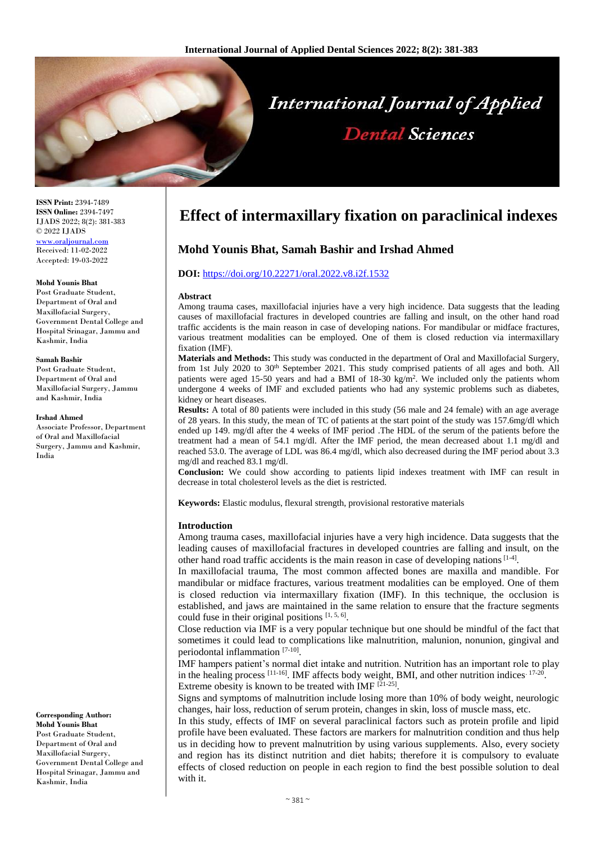

**ISSN Print:** 2394-7489 **ISSN Online:** 2394-7497 IJADS 2022; 8(2): 381-383 © 2022 IJADS [www.oraljournal.com](http://www.oraljournal.com/) Received: 11-02-2022 Accepted: 19-03-2022

#### **Mohd Younis Bhat**

Post Graduate Student, Department of Oral and Maxillofacial Surgery, Government Dental College and Hospital Srinagar, Jammu and Kashmir, India

#### **Samah Bashir**

Post Graduate Student, Department of Oral and Maxillofacial Surgery, Jammu and Kashmir, India

**Irshad Ahmed**

Associate Professor, Department of Oral and Maxillofacial Surgery, Jammu and Kashmir, India

**Corresponding Author: Mohd Younis Bhat** Post Graduate Student, Department of Oral and Maxillofacial Surgery, Government Dental College and Hospital Srinagar, Jammu and Kashmir, India

# **Effect of intermaxillary fixation on paraclinical indexes**

# **Mohd Younis Bhat, Samah Bashir and Irshad Ahmed**

#### **DOI:** <https://doi.org/10.22271/oral.2022.v8.i2f.1532>

#### **Abstract**

Among trauma cases, maxillofacial injuries have a very high incidence. Data suggests that the leading causes of maxillofacial fractures in developed countries are falling and insult, on the other hand road traffic accidents is the main reason in case of developing nations. For mandibular or midface fractures, various treatment modalities can be employed. One of them is closed reduction via intermaxillary fixation (IMF).

**Materials and Methods:** This study was conducted in the department of Oral and Maxillofacial Surgery, from 1st July 2020 to 30<sup>th</sup> September 2021. This study comprised patients of all ages and both. All patients were aged 15-50 years and had a BMI of  $18{\text -}30 \text{ kg/m}^2$ . We included only the patients whom undergone 4 weeks of IMF and excluded patients who had any systemic problems such as diabetes, kidney or heart diseases.

**Results:** A total of 80 patients were included in this study (56 male and 24 female) with an age average of 28 years. In this study, the mean of TC of patients at the start point of the study was 157.6mg/dl which ended up 149. mg/dl after the 4 weeks of IMF period .The HDL of the serum of the patients before the treatment had a mean of 54.1 mg/dl. After the IMF period, the mean decreased about 1.1 mg/dl and reached 53.0. The average of LDL was 86.4 mg/dl, which also decreased during the IMF period about 3.3 mg/dl and reached 83.1 mg/dl.

**Conclusion:** We could show according to patients lipid indexes treatment with IMF can result in decrease in total cholesterol levels as the diet is restricted.

**Keywords:** Elastic modulus, flexural strength, provisional restorative materials

#### **Introduction**

Among trauma cases, maxillofacial injuries have a very high incidence. Data suggests that the leading causes of maxillofacial fractures in developed countries are falling and insult, on the other hand road traffic accidents is the main reason in case of developing nations  $[1-4]$ .

In maxillofacial trauma, The most common affected bones are maxilla and mandible. For mandibular or midface fractures, various treatment modalities can be employed. One of them is closed reduction via intermaxillary fixation (IMF). In this technique, the occlusion is established, and jaws are maintained in the same relation to ensure that the fracture segments could fuse in their original positions  $[1, 5, 6]$ .

Close reduction via IMF is a very popular technique but one should be mindful of the fact that sometimes it could lead to complications like malnutrition, malunion, nonunion, gingival and periodontal inflammation [7-10].

IMF hampers patient's normal diet intake and nutrition. Nutrition has an important role to play in the healing process [11-16]. IMF affects body weight, BMI, and other nutrition indices. 17-20. Extreme obesity is known to be treated with IMF [21-25].

Signs and symptoms of malnutrition include losing more than 10% of body weight, neurologic changes, hair loss, reduction of serum protein, changes in skin, loss of muscle mass, etc.

In this study, effects of IMF on several paraclinical factors such as protein profile and lipid profile have been evaluated. These factors are markers for malnutrition condition and thus help us in deciding how to prevent malnutrition by using various supplements. Also, every society and region has its distinct nutrition and diet habits; therefore it is compulsory to evaluate effects of closed reduction on people in each region to find the best possible solution to deal with it.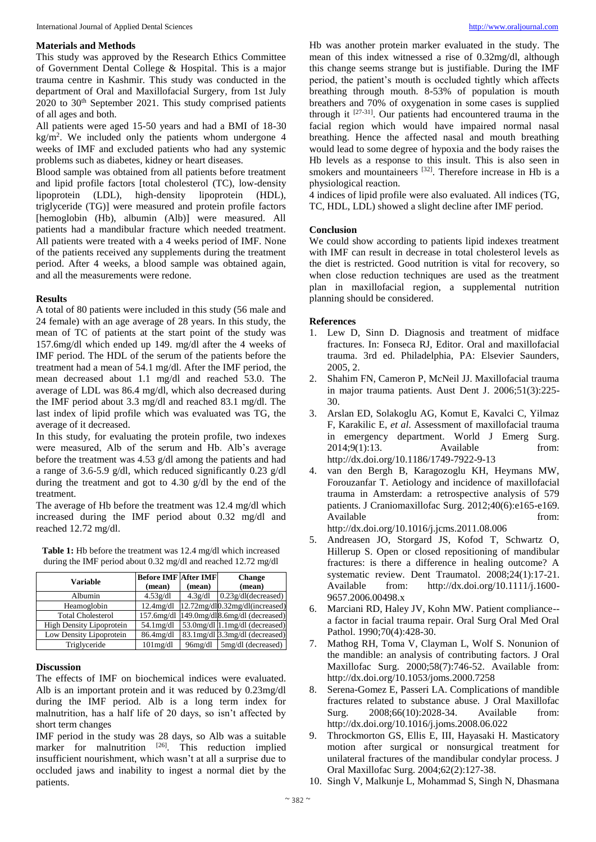### **Materials and Methods**

This study was approved by the Research Ethics Committee of Government Dental College & Hospital. This is a major trauma centre in Kashmir. This study was conducted in the department of Oral and Maxillofacial Surgery, from 1st July 2020 to 30th September 2021. This study comprised patients of all ages and both.

All patients were aged 15-50 years and had a BMI of 18-30 kg/m<sup>2</sup> . We included only the patients whom undergone 4 weeks of IMF and excluded patients who had any systemic problems such as diabetes, kidney or heart diseases.

Blood sample was obtained from all patients before treatment and lipid profile factors [total cholesterol (TC), low-density lipoprotein (LDL), high-density lipoprotein (HDL), triglyceride (TG)] were measured and protein profile factors [hemoglobin (Hb), albumin (Alb)] were measured. All patients had a mandibular fracture which needed treatment. All patients were treated with a 4 weeks period of IMF. None of the patients received any supplements during the treatment period. After 4 weeks, a blood sample was obtained again, and all the measurements were redone.

## **Results**

A total of 80 patients were included in this study (56 male and 24 female) with an age average of 28 years. In this study, the mean of TC of patients at the start point of the study was 157.6mg/dl which ended up 149. mg/dl after the 4 weeks of IMF period. The HDL of the serum of the patients before the treatment had a mean of 54.1 mg/dl. After the IMF period, the mean decreased about 1.1 mg/dl and reached 53.0. The average of LDL was 86.4 mg/dl, which also decreased during the IMF period about 3.3 mg/dl and reached 83.1 mg/dl. The last index of lipid profile which was evaluated was TG, the average of it decreased.

In this study, for evaluating the protein profile, two indexes were measured, Alb of the serum and Hb. Alb's average before the treatment was 4.53 g/dl among the patients and had a range of 3.6-5.9 g/dl, which reduced significantly 0.23 g/dl during the treatment and got to 4.30 g/dl by the end of the treatment.

The average of Hb before the treatment was 12.4 mg/dl which increased during the IMF period about 0.32 mg/dl and reached 12.72 mg/dl.

| Variable    | <b>Before IMF After IMF</b> |         | <b>Change</b>                         |
|-------------|-----------------------------|---------|---------------------------------------|
|             | (mean)                      | (mean)  | (mean)                                |
| Albumin     | 4.53g/dl                    | 4.3g/dl | $0.23g/dl$ (decreased)                |
| Heamoglobin | $12.4$ mg/dl                |         | $12.72$ mg/dl $0.32$ mg/dl(increased) |

Low Density Lipoprotein 86.4mg/dl 83.1mg/dl 3.3mg/dl (decreased) Triglyceride 101mg/dl 96mg/dl 5mg/dl (decreased)

| <b>Table 1:</b> Hb before the treatment was 12.4 mg/dl which increased |  |
|------------------------------------------------------------------------|--|
| during the IMF period about 0.32 mg/dl and reached 12.72 mg/dl         |  |

| Variable                        | <b>Before IMF After IMF</b> |         | <b>Change</b>                                         |
|---------------------------------|-----------------------------|---------|-------------------------------------------------------|
|                                 | (mean)                      | (mean)  | (mean)                                                |
| Albumin                         | 4.53g/dl                    | 4.3g/dl | $0.23g/dl$ (decreased)                                |
| Heamoglobin                     | $12.4$ mg/dl                |         | 12.72mg/dl0.32mg/dl(increased)                        |
| <b>Total Cholesterol</b>        |                             |         | $157.6$ mg/dl $ 149.0$ mg/dl $ 8.6$ mg/dl (decreased) |
| <b>High Density Lipoprotein</b> | $54.1$ mg/dl                |         | 53.0mg/dl 1.1mg/dl (decreased)                        |

# **Discussion**

The effects of IMF on biochemical indices were evaluated. Alb is an important protein and it was reduced by 0.23mg/dl during the IMF period. Alb is a long term index for malnutrition, has a half life of 20 days, so isn't affected by short term changes

IMF period in the study was 28 days, so Alb was a suitable marker for malnutrition  $[26]$ . This reduction implied insufficient nourishment, which wasn't at all a surprise due to occluded jaws and inability to ingest a normal diet by the patients.

Hb was another protein marker evaluated in the study. The mean of this index witnessed a rise of 0.32mg/dl, although this change seems strange but is justifiable. During the IMF period, the patient's mouth is occluded tightly which affects breathing through mouth. 8-53% of population is mouth breathers and 70% of oxygenation in some cases is supplied through it  $[27-31]$ . Our patients had encountered trauma in the facial region which would have impaired normal nasal breathing. Hence the affected nasal and mouth breathing would lead to some degree of hypoxia and the body raises the Hb levels as a response to this insult. This is also seen in smokers and mountaineers [32]. Therefore increase in Hb is a physiological reaction.

4 indices of lipid profile were also evaluated. All indices (TG, TC, HDL, LDL) showed a slight decline after IMF period.

# **Conclusion**

We could show according to patients lipid indexes treatment with IMF can result in decrease in total cholesterol levels as the diet is restricted. Good nutrition is vital for recovery, so when close reduction techniques are used as the treatment plan in maxillofacial region, a supplemental nutrition planning should be considered.

## **References**

- 1. Lew D, Sinn D. Diagnosis and treatment of midface fractures. In: Fonseca RJ, Editor. Oral and maxillofacial trauma. 3rd ed. Philadelphia, PA: Elsevier Saunders, 2005, 2.
- 2. Shahim FN, Cameron P, McNeil JJ. Maxillofacial trauma in major trauma patients. Aust Dent J. 2006;51(3):225- 30.
- 3. Arslan ED, Solakoglu AG, Komut E, Kavalci C, Yilmaz F, Karakilic E, *et al*. Assessment of maxillofacial trauma in emergency department. World J Emerg Surg. 2014;9(1):13. Available from: http://dx.doi.org/10.1186/1749-7922-9-13
- 4. van den Bergh B, Karagozoglu KH, Heymans MW, Forouzanfar T. Aetiology and incidence of maxillofacial trauma in Amsterdam: a retrospective analysis of 579 patients. J Craniomaxillofac Surg. 2012;40(6):e165-e169. Available from: http://dx.doi.org/10.1016/j.jcms.2011.08.006
- 5. Andreasen JO, Storgard JS, Kofod T, Schwartz O, Hillerup S. Open or closed repositioning of mandibular fractures: is there a difference in healing outcome? A systematic review. Dent Traumatol. 2008;24(1):17-21. Available from: http://dx.doi.org/10.1111/j.1600- 9657.2006.00498.x
- 6. Marciani RD, Haley JV, Kohn MW. Patient compliance- a factor in facial trauma repair. Oral Surg Oral Med Oral Pathol. 1990;70(4):428-30.
- 7. Mathog RH, Toma V, Clayman L, Wolf S. Nonunion of the mandible: an analysis of contributing factors. J Oral Maxillofac Surg. 2000;58(7):746-52. Available from: http://dx.doi.org/10.1053/joms.2000.7258
- Serena-Gomez E, Passeri LA. Complications of mandible fractures related to substance abuse. J Oral Maxillofac Surg. 2008;66(10):2028-34. Available from: http://dx.doi.org/10.1016/j.joms.2008.06.022
- 9. Throckmorton GS, Ellis E, III, Hayasaki H. Masticatory motion after surgical or nonsurgical treatment for unilateral fractures of the mandibular condylar process. J Oral Maxillofac Surg. 2004;62(2):127-38.
- 10. Singh V, Malkunje L, Mohammad S, Singh N, Dhasmana